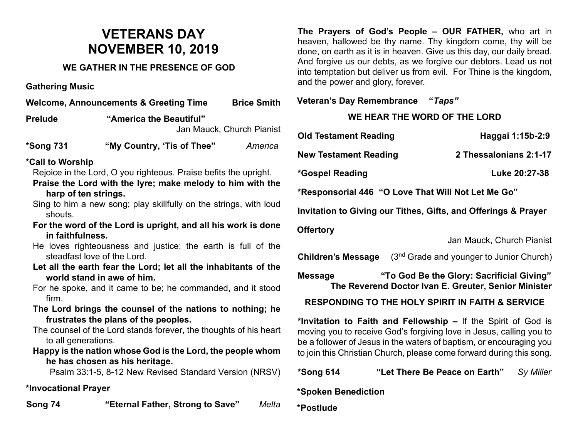# **VETERANS DAY NOVEMBER 10, 2019**

### **WE GATHER IN THE PRESENCE OF GOD**

**Gathering Music**

| <b>Brice Smith</b><br><b>Welcome, Announcements &amp; Greeting Time</b>                                                                                                                  |                            |                           |
|------------------------------------------------------------------------------------------------------------------------------------------------------------------------------------------|----------------------------|---------------------------|
| <b>Prelude</b>                                                                                                                                                                           | "America the Beautiful"    | Jan Mauck, Church Pianist |
| *Song 731                                                                                                                                                                                | "My Country, 'Tis of Thee" | America                   |
| <i><b>*Call to Worship</b></i><br>Rejoice in the Lord, O you righteous. Praise befits the upright.<br>Praise the Lord with the lyre; make melody to him with the<br>harp of ten strings. |                            |                           |

- Sing to him a new song; play skillfully on the strings, with loud shouts.
- **For the word of the Lord is upright, and all his work is done in faithfulness.**

He loves righteousness and justice; the earth is full of the steadfast love of the Lord.

- **Let all the earth fear the Lord; let all the inhabitants of the world stand in awe of him.**
- For he spoke, and it came to be; he commanded, and it stood firm.
- **The Lord brings the counsel of the nations to nothing; he frustrates the plans of the peoples.**

The counsel of the Lord stands forever, the thoughts of his heart to all generations.

**Happy is the nation whose God is the Lord, the people whom he has chosen as his heritage.**

Psalm 33:1-5, 8-12 New Revised Standard Version (NRSV)

### **\*Invocational Prayer**

**Song 74 "Eternal Father, Strong to Save"** *Melta*

**The Prayers of God's People – OUR FATHER,** who art in heaven, hallowed be thy name. Thy kingdom come, thy will be done, on earth as it is in heaven. Give us this day, our daily bread. And forgive us our debts, as we forgive our debtors. Lead us not into temptation but deliver us from evil. For Thine is the kingdom, and the power and glory, forever.

### **Veteran's Day Remembrance "***Taps"*

## **WE HEAR THE WORD OF THE LORD**

| <b>Old Testament Reading</b>                                   | Haggai 1:15b-2:9                                                                                  |  |  |
|----------------------------------------------------------------|---------------------------------------------------------------------------------------------------|--|--|
| <b>New Testament Reading</b>                                   | 2 Thessalonians 2:1-17                                                                            |  |  |
| *Gospel Reading                                                | Luke 20:27-38                                                                                     |  |  |
| *Responsorial 446 "O Love That Will Not Let Me Go"             |                                                                                                   |  |  |
| Invitation to Giving our Tithes, Gifts, and Offerings & Prayer |                                                                                                   |  |  |
| <b>Offertory</b>                                               |                                                                                                   |  |  |
|                                                                | Jan Mauck, Church Pianist                                                                         |  |  |
| <b>Children's Message</b>                                      | (3 <sup>nd</sup> Grade and younger to Junior Church)                                              |  |  |
| <b>Message</b>                                                 | "To God Be the Glory: Sacrificial Giving"<br>The Reverend Doctor Ivan E. Greuter, Senior Minister |  |  |

### **RESPONDING TO THE HOLY SPIRIT IN FAITH & SERVICE**

**\*Invitation to Faith and Fellowship –** If the Spirit of God is moving you to receive God's forgiving love in Jesus, calling you to be a follower of Jesus in the waters of baptism, or encouraging you to join this Christian Church, please come forward during this song.

**\*Song 614 "Let There Be Peace on Earth"** *Sy Miller*

**\*Spoken Benediction** 

**\*Postlude**